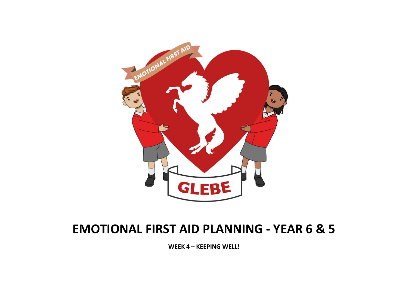

## EMOTIONAL FIRST AID PLANNING - YEAR 6 & 5

WEEK 4 – KEEPING WELL!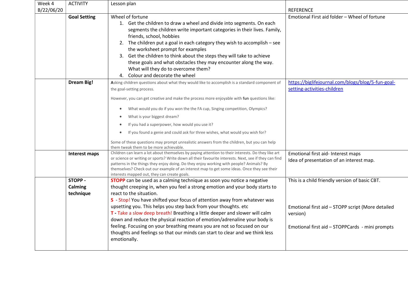| <b>ACTIVITY</b>                        | Lesson plan                                                                                                                                                                                                                                                                                                                                                                                                                                                                                                                                                                                                                                                                   |                                                                                                                                                                    |
|----------------------------------------|-------------------------------------------------------------------------------------------------------------------------------------------------------------------------------------------------------------------------------------------------------------------------------------------------------------------------------------------------------------------------------------------------------------------------------------------------------------------------------------------------------------------------------------------------------------------------------------------------------------------------------------------------------------------------------|--------------------------------------------------------------------------------------------------------------------------------------------------------------------|
|                                        |                                                                                                                                                                                                                                                                                                                                                                                                                                                                                                                                                                                                                                                                               | <b>REFERENCE</b>                                                                                                                                                   |
| <b>Goal Setting</b>                    | Wheel of fortune<br>1. Get the children to draw a wheel and divide into segments. On each<br>segments the children write important categories in their lives. Family,<br>friends, school, hobbies<br>2. The children put a goal in each category they wish to accomplish - see<br>the worksheet prompt for examples<br>3. Get the children to think about the steps they will take to achieve<br>these goals and what obstacles they may encounter along the way.<br>What will they do to overcome them?<br>4. Colour and decorate the wheel                                                                                                                                  | Emotional First aid folder - Wheel of fortune                                                                                                                      |
| <b>Dream Big!</b>                      | Asking children questions about what they would like to accomplish is a standard component of<br>the goal-setting process.<br>However, you can get creative and make the process more enjoyable with fun questions like:<br>What would you do if you won the the FA cup, Singing competition, Olympics?<br>$\bullet$<br>What is your biggest dream?<br>$\bullet$<br>If you had a superpower, how would you use it?<br>$\bullet$<br>If you found a genie and could ask for three wishes, what would you wish for?<br>$\bullet$<br>Some of these questions may prompt unrealistic answers from the children, but you can help                                                   | https://biglifejournal.com/blogs/blog/5-fun-goal-<br>setting-activities-children                                                                                   |
| Interest maps                          | Children can learn a lot about themselves by paying attention to their interests. Do they like art<br>or science or writing or sports? Write down all their favourite interests. Next, see if they can find<br>patterns in the things they enjoy doing. Do they enjoy working with people? Animals? By<br>themselves? Check out our example of an interest map to get some ideas. Once they see their                                                                                                                                                                                                                                                                         | Emotional first aid- Interest maps<br>Idea of presentation of an interest map.                                                                                     |
| <b>STOPP -</b><br>Calming<br>technique | <b>STOPP</b> can be used as a calming technique as soon you notice a negative<br>thought creeping in, when you feel a strong emotion and your body starts to<br>react to the situation.<br>S - Stop! You have shifted your focus of attention away from whatever was<br>upsetting you. This helps you step back from your thoughts. etc<br>T - Take a slow deep breath! Breathing a little deeper and slower will calm<br>down and reduce the physical reaction of emotion/adrenaline your body is<br>feeling. Focusing on your breathing means you are not so focused on our<br>thoughts and feelings so that our minds can start to clear and we think less<br>emotionally. | This is a child friendly version of basic CBT.<br>Emotional first aid - STOPP script (More detailed<br>version)<br>Emotional first aid - STOPPCards - mini prompts |
|                                        |                                                                                                                                                                                                                                                                                                                                                                                                                                                                                                                                                                                                                                                                               | them tweak them to be more achievable.<br>interests mapped out, they can create goals.                                                                             |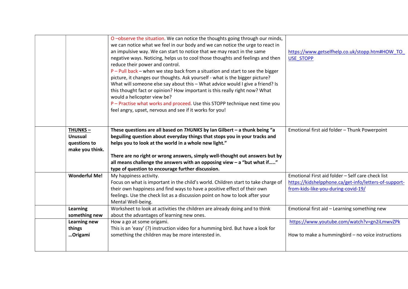|                                                                     | O-observe the situation. We can notice the thoughts going through our minds,<br>we can notice what we feel in our body and we can notice the urge to react in<br>an impulsive way. We can start to notice that we may react in the same<br>negative ways. Noticing, helps us to cool those thoughts and feelings and then<br>reduce their power and control.<br>$P$ – Pull back – when we step back from a situation and start to see the bigger<br>picture, it changes our thoughts. Ask yourself - what is the bigger picture?<br>What will someone else say about this - What advice would I give a friend? Is<br>this thought fact or opinion? How important is this really right now? What<br>would a helicopter view be?<br>P - Practise what works and proceed. Use this STOPP technique next time you<br>feel angry, upset, nervous and see if it works for you! | https://www.getselfhelp.co.uk/stopp.htm#HOW_TO<br><b>USE STOPP</b>                                                                                |
|---------------------------------------------------------------------|--------------------------------------------------------------------------------------------------------------------------------------------------------------------------------------------------------------------------------------------------------------------------------------------------------------------------------------------------------------------------------------------------------------------------------------------------------------------------------------------------------------------------------------------------------------------------------------------------------------------------------------------------------------------------------------------------------------------------------------------------------------------------------------------------------------------------------------------------------------------------|---------------------------------------------------------------------------------------------------------------------------------------------------|
| <b>THUNKS-</b><br><b>Unusual</b><br>questions to<br>make you think. | These questions are all based on $THUNKS$ by Ian Gilbert - a thunk being "a<br>beguiling question about everyday things that stops you in your tracks and<br>helps you to look at the world in a whole new light."<br>There are no right or wrong answers, simply well-thought out answers but by<br>all means challenge the answers with an opposing view $-$ a "but what if"<br>type of question to encourage further discussion.                                                                                                                                                                                                                                                                                                                                                                                                                                      | Emotional first aid folder - Thunk Powerpoint                                                                                                     |
| <b>Wonderful Me!</b>                                                | My happiness activity.<br>Focus on what is important in the child's world. Children start to take charge of<br>their own happiness and find ways to have a positive effect of their own<br>feelings. Use the check list as a discussion point on how to look after your<br>Mental Well-being.                                                                                                                                                                                                                                                                                                                                                                                                                                                                                                                                                                            | Emotional First aid folder - Self care check list<br>https://kidshelpphone.ca/get-info/letters-of-support-<br>from-kids-like-you-during-covid-19/ |
| <b>Learning</b><br>something new                                    | Worksheet to look at activities the children are already doing and to think<br>about the advantages of learning new ones.                                                                                                                                                                                                                                                                                                                                                                                                                                                                                                                                                                                                                                                                                                                                                | Emotional first aid - Learning something new                                                                                                      |
| <b>Learning new</b><br>things<br>Origami                            | How a go at some origami.<br>This is an 'easy' (?) instruction video for a humming bird. But have a look for<br>something the children may be more interested in.                                                                                                                                                                                                                                                                                                                                                                                                                                                                                                                                                                                                                                                                                                        | https://www.youtube.com/watch?v=gn2iLmwvZPk<br>How to make a hummingbird - no voice instructions                                                  |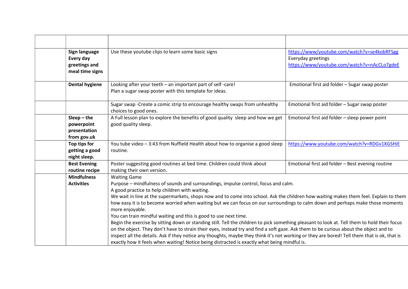| Sign language<br>Every day<br>greetings and<br>meal time signs | Use these youtube clips to learn some basic signs                                                                                                                                                                                                                                                                                                                                                                                                                                                                                                                                                                                                                                                                                                                                                                                                                                                                                                                                                                                                                      | https://www/youtube.com/watch?v=se4kobRFSgg<br>Everyday greetings<br>https://www/youtube.com/watch?v=nAcCLo7gdeE |
|----------------------------------------------------------------|------------------------------------------------------------------------------------------------------------------------------------------------------------------------------------------------------------------------------------------------------------------------------------------------------------------------------------------------------------------------------------------------------------------------------------------------------------------------------------------------------------------------------------------------------------------------------------------------------------------------------------------------------------------------------------------------------------------------------------------------------------------------------------------------------------------------------------------------------------------------------------------------------------------------------------------------------------------------------------------------------------------------------------------------------------------------|------------------------------------------------------------------------------------------------------------------|
| <b>Dental hygiene</b>                                          | Looking after your teeth - an important part of self-care!<br>Plan a sugar swap poster with this template for ideas.                                                                                                                                                                                                                                                                                                                                                                                                                                                                                                                                                                                                                                                                                                                                                                                                                                                                                                                                                   | Emotional first aid folder - Sugar swap poster                                                                   |
|                                                                | Sugar swap - Create a comic strip to encourage healthy swaps from unhealthy<br>choices to good ones.                                                                                                                                                                                                                                                                                                                                                                                                                                                                                                                                                                                                                                                                                                                                                                                                                                                                                                                                                                   | Emotional first aid folder - Sugar swap poster                                                                   |
| $Sleep - the$<br>powerpoint<br>presentation<br>from gov.uk     | A Full lesson plan to explore the benefits of good quality sleep and how we get<br>good quality sleep.                                                                                                                                                                                                                                                                                                                                                                                                                                                                                                                                                                                                                                                                                                                                                                                                                                                                                                                                                                 | Emotional first aid folder - sleep power point                                                                   |
| Top tips for<br>getting a good<br>night sleep.                 | You tube video - 3:43 from Nuffield Health about how to organise a good sleep<br>routine.                                                                                                                                                                                                                                                                                                                                                                                                                                                                                                                                                                                                                                                                                                                                                                                                                                                                                                                                                                              | https://www.youtube.com/watch?v=RDGv1XGSHiE                                                                      |
| <b>Best Evening</b><br>routine recipe                          | Poster suggesting good routines at bed time. Children could think about<br>making their own version.                                                                                                                                                                                                                                                                                                                                                                                                                                                                                                                                                                                                                                                                                                                                                                                                                                                                                                                                                                   | Emotional first aid folder - Best evening routine                                                                |
| <b>Mindfulness</b><br><b>Activities</b>                        | <b>Waiting Game</b><br>Purpose - mindfulness of sounds and surroundings, impulse control, focus and calm.<br>A good practice to help children with waiting.<br>We wait in line at the supermarkets, shops now and to come into school. Ask the children how waiting makes them feel. Explain to them<br>how easy it is to become worried when waiting but we can focus on our surroundings to calm down and perhaps make those moments<br>more enjoyable.<br>You can train mindful waiting and this is good to use next time.<br>Begin the exercise by sitting down or standing still. Tell the children to pick something pleasant to look at. Tell them to hold their focus<br>on the object. They don't have to strain their eyes, instead try and find a soft gaze. Ask them to be curious about the object and to<br>inspect all the details. Ask if they notice any thoughts, maybe they think it's not working or they are bored! Tell them that is ok, that is<br>exactly how it feels when waiting! Notice being distracted is exactly what being mindful is. |                                                                                                                  |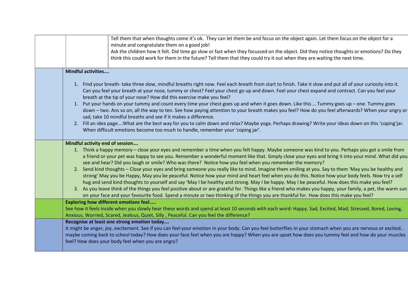| Tell them that when thoughts come it's ok. They can let them be and focus on the object again. Let them focus on the object for a<br>minute and congratulate them on a good job!<br>Ask the children how it felt. Did time go slow or fast when they focussed on the object. Did they notice thoughts or emotions? Do they<br>think this could work for them in the future? Tell them that they could try it out when they are waiting the next time.                                                                                                                                                                                                                                                                                                                                                                                                                                                                                                                                                                                                                                                                                                                            |
|----------------------------------------------------------------------------------------------------------------------------------------------------------------------------------------------------------------------------------------------------------------------------------------------------------------------------------------------------------------------------------------------------------------------------------------------------------------------------------------------------------------------------------------------------------------------------------------------------------------------------------------------------------------------------------------------------------------------------------------------------------------------------------------------------------------------------------------------------------------------------------------------------------------------------------------------------------------------------------------------------------------------------------------------------------------------------------------------------------------------------------------------------------------------------------|
|                                                                                                                                                                                                                                                                                                                                                                                                                                                                                                                                                                                                                                                                                                                                                                                                                                                                                                                                                                                                                                                                                                                                                                                  |
| <b>Mindful activities</b>                                                                                                                                                                                                                                                                                                                                                                                                                                                                                                                                                                                                                                                                                                                                                                                                                                                                                                                                                                                                                                                                                                                                                        |
| 1. Find your breath-take three slow, mindful breaths right now. Feel each breath from start to finish. Take it slow and put all of your curiosity into it.<br>Can you feel your breath at your nose, tummy or chest? Feel your chest go up and down. Feel your chest expand and contract. Can you feel your<br>breath at the tip of your nose? How did this exercise make you feel?<br>1. Put your hands on your tummy and count every time your chest goes up and when it goes down. Like this  Tummy goes up - one. Tummy goes<br>down - two. Ans so on, all the way to ten. See how paying attention to your breath makes you feel? How do you feel afterwards? When your angry or<br>sad, take 10 mindful breaths and see if it makes a difference.<br>2. Fill an idea pageWhat are the best way for you to calm down and relax? Maybe yoga. Perhaps drawing? Write your ideas down on this 'coping'jar.<br>When difficult emotions become too much to handle, remember your 'coping jar'.                                                                                                                                                                                   |
| Mindful activity end of session                                                                                                                                                                                                                                                                                                                                                                                                                                                                                                                                                                                                                                                                                                                                                                                                                                                                                                                                                                                                                                                                                                                                                  |
| 1. Think a happy memory - close your eyes and remember a time when you felt happy. Maybe someone was kind to you. Perhaps you got a smile from<br>a friend or your pet was happy to see you. Remember a wonderful moment like that. Simply close your eyes and bring it into your mind. What did you<br>see and hear? Did you laugh or smile? Who was there? Notice how you feel when you remember the memory?<br>2. Send kind thoughts - Close your eyes and bring someone you really like to mind. Imagine them smiling at you. Say to them 'May you be healthy and<br>strong' May you be Happy, May you be peaceful. Notice how your mind and heart feel when you do this. Notice how your body feels. Now try a self<br>hug and send kind thoughts to yourself and say 'May I be healthy and strong. May I be happy. May I be peaceful. How does this make you feel?<br>3. As you leave think of the things you feel positive about or are grateful for. Things like a friend who makes you happy, your family, a pet, the warm sun<br>on your face and your favourite food. Spend a minute or two thinking of the things you are thankful for. How does this make you feel? |
| <b>Exploring how different emotions feel</b>                                                                                                                                                                                                                                                                                                                                                                                                                                                                                                                                                                                                                                                                                                                                                                                                                                                                                                                                                                                                                                                                                                                                     |
| See how it feels inside when you slowly hear these words and spend at least 10 seconds with each word: Happy. Sad, Excited, Mad, Stressed, Bored, Loving,<br>Anxious, Worried, Scared, Jealous, Quiet, Silly, Peaceful. Can you feel the difference?                                                                                                                                                                                                                                                                                                                                                                                                                                                                                                                                                                                                                                                                                                                                                                                                                                                                                                                             |
| Recognise at least one strong emotion today<br>It might be anger, joy, excitement. See if you can feel your emotion in your body. Can you feel butterflies in your stomach when you are nervous or excited<br>maybe coming back to school today? How does your face feel when you are happy? When you are upset how does you tummy feel and how do your muscles<br>feel? How does your body feel when you are angry?                                                                                                                                                                                                                                                                                                                                                                                                                                                                                                                                                                                                                                                                                                                                                             |